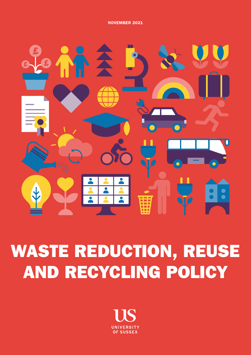NOVEMBER 2021



# WASTE REDUCTION, REUSE AND RECYCLING POLICY

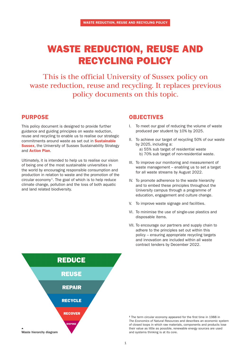# WASTE REDUCTION, REUSE AND RECYCLING POLICY

This is the official University of Sussex policy on waste reduction, reuse and recycling. It replaces previous policy documents on this topic.

### PURPOSE

This policy document is designed to provide further guidance and guiding principles on waste reduction, reuse and recycling to enable us to realise our strategic commitments around waste as set out in **Sustainable [Sussex](https://www.sussex.ac.uk/webteam/gateway/file.php?name=4904-sustainability-strategy-final-30june-2nd.pdf&site=271)**, the University of Sussex Sustainability Strategy and [Action Plan](https://www.sussex.ac.uk/webteam/gateway/file.php?name=4904-sustainability-strategy-action-plan1st.pdf&site=271).

Ultimately, it is intended to help us to realise our vision of being one of the most sustainable universities in the world by encouraging responsible consumption and production in relation to waste and the promotion of the circular economy<sup>1</sup>. The goal of which is to help reduce climate change, pollution and the loss of both aquatic and land related biodiversity.

## OBJECTIVES

- I. To meet our goal of reducing the volume of waste produced per student by 10% by 2025.
- II. To achieve our target of recycling 50% of our waste by 2025, including a: a) 55% sub target of residential waste b) 70% sub target of non-residential waste.
- III. To improve our monitoring and measurement of waste management – enabling us to set a target for all waste streams by August 2022.
- IV. To promote adherence to the waste hierarchy and to embed these principles throughout the University campus through a programme of education, engagement and culture change.
- V. To improve waste signage and facilities.
- VI. To minimise the use of single-use plastics and disposable items.
- VII. To encourage our partners and supply chain to adhere to the principles set out within this policy – ensuring appropriate recycling targets and innovation are included within all waste contract tenders by December 2022.



<sup>1</sup> The term circular economy appeared for the first time in 1988 in *The Economics of Natural Resources* and describes an economic system of closed loops in which raw materials, components and products lose their value as little as possible, renewable energy sources are used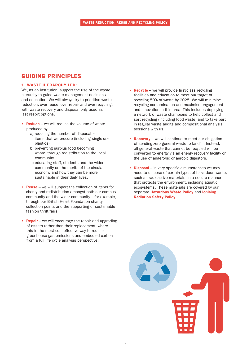## GUIDING PRINCIPLES

#### 1. WASTE HIERARCHY LED:

We, as an institution, support the use of the waste hierarchy to guide waste management decisions and education. We will always try to prioritise waste reduction, over reuse, over repair and over recycling, with waste recovery and disposal only used as last resort options.

- Reduce we will reduce the volume of waste produced by:
	- a) reducing the number of disposable items that we procure (including single-use plastics)
	- b) preventing surplus food becoming waste, through redistribution to the local community
	- c) educating staff, students and the wider community on the merits of the circular economy and how they can be more sustainable in their daily lives.
- Reuse we will support the collection of items for charity and redistribution amongst both our campus community and the wider community – for example, through our British Heart Foundation charity collection points and the supporting of sustainable fashion thrift fairs.
- **Repair** we will encourage the repair and upgrading of assets rather than their replacement, where this is the most cost-effective way to reduce greenhouse gas emissions and embodied carbon from a full life cycle analysis perspective.
- Recycle we will provide first-class recycling facilities and education to meet our target of recycling 50% of waste by 2025. We will minimise recycling contamination and maximise engagement and innovation in this area. This includes deploying a network of waste champions to help collect and sort recycling (including food waste) and to take part in regular waste audits and compositional analysis sessions with us.
- Recovery we will continue to meet our obligation of sending zero general waste to landfill. Instead, all general waste that cannot be recycled will be converted to energy via an energy recovery facility or the use of anaerobic or aerobic digestors.
- Disposal in very specific circumstances we may need to dispose of certain types of hazardous waste, such as radioactive materials, in a secure manner that protects the environment, including aquatic ecosystems. These materials are covered by our separate **[Hazardous Waste Policy](https://www.sussex.ac.uk/webteam/gateway/file.php?name=hs-p021-hazardous-waste-policy.pdf&site=332)** and **Ionising**  [Radiation Safety Policy](https://www.sussex.ac.uk/webteam/gateway/file.php?name=hs-p010-radiation-policy-2018.pdf&site=332).

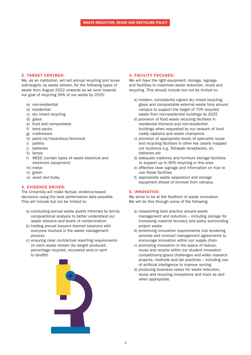#### 2. TARGET CENTRED:

We, as an institution, will set annual recycling and reuse sub-targets, by waste stream, for the following types of waste from August 2022 onwards as we work towards our goal of recycling 50% of our waste by 2025:

- a) non-residential
- b) residential
- c) dry mixed recycling
- d) glass
- e) food and compostable
- f) tetra packs
- g) mattresses
- h) paint/oil/hazardous/technical
- i) pallets
- j) batteries
- k) lamps
- l) WEEE (certain types of waste electrical and electronic equipment)
- m) metal
- n) green
- o) wood and bulky.

#### 3. EVIDENCE DRIVEN:

The University will make factual, evidence-based decisions using the best performance data possible. This will include but not be limited to:

- a) conducting annual waste audits informed by termly compositional analysis to better understand our waste streams and levels of contamination
- b) holding annual lessons learned sessions with everyone involved in the waste management process
- c) ensuring clear contractual reporting requirements on each waste stream (by weight produced, percentage recycled, recovered and/or sent to landfill).



#### 4. FACILITY FOCUSED:

We will have the right equipment, storage, signage and facilities to maximise waste reduction, reuse and recycling. This should include but not be limited to:

- a) modern, consistently signed dry mixed recycling, glass and compostable external waste bins around campus to support the target of 70% recycled waste from non-residential buildings by 2025
- b) provision of food waste recycling facilities in residential kitchens and non-residential buildings when requested by our network of food caddy captains and waste champions
- c) provision of appropriate levels of specialist reuse and recycling facilities in other key clearly mapped out locations e.g. Tetrapak receptacles, oil, batteries etc
- d) adequate mattress and furniture storage facilities to support up to 90% recycling in this area
- e) effective clear signage and information on how to use these facilities
- f) appropriate waste separation and storage equipment ahead of removal from campus.

#### 5. INNOVATIVE:

We strive to be at the forefront of waste innovation. We will do this through some of the following:

- a) researching best practice around waste management and reduction – including storage for increasing material recovery and policy surrounding project waste
- b) enshrining innovation requirements into tendering process and contract management agreements to encourage innovation within our supply chain
- c) promoting innovation in the space of reduce, reuse and recycle within our student innovation competitions/grand challenges and wider research projects, methods and lab practices – including use of artificial intelligence to improve sorting
- d) producing business cases for waste reduction, reuse and recycling innovations and trials as and when appropriate.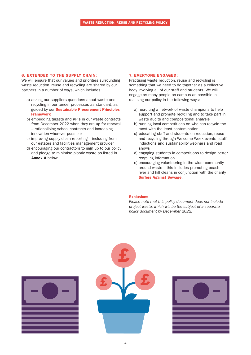#### 6. EXTENDED TO THE SUPPLY CHAIN:

We will ensure that our values and priorities surrounding waste reduction, reuse and recycling are shared by our partners in a number of ways, which includes:

- a) asking our suppliers questions about waste and recycling in our tender processes as standard, as guided by our [Sustainable Procurement Principles](https://www.sussex.ac.uk/webteam/gateway/file.php?name=4932-sustainability-procurement-principles-2nd.pdf&site=271)  [Framework](https://www.sussex.ac.uk/webteam/gateway/file.php?name=4932-sustainability-procurement-principles-2nd.pdf&site=271)
- b) embedding targets and KPIs in our waste contracts from December 2022 when they are up for renewal – rationalising school contracts and increasing innovation wherever possible
- c) improving supply chain reporting including from our estates and facilities management provider
- d) encouraging our contractors to sign up to our policy and pledge to minimise plastic waste as listed in Annex A below.

#### 7. EVERYONE ENGAGED:

Practising waste reduction, reuse and recycling is something that we need to do together as a collective body involving all of our staff and students. We will engage as many people on campus as possible in realising our policy in the following ways:

- a) recruiting a network of waste champions to help support and promote recycling and to take part in waste audits and compositional analysis
- b) running local competitions on who can recycle the most with the least contamination
- c) educating staff and students on reduction, reuse and recycling through Welcome Week events, staff inductions and sustainability webinars and road shows
- d) engaging students in competitions to design better recycling information
- e) encouraging volunteering in the wider community around waste – this includes promoting beach, river and hill cleans in conjunction with the charity [Surfers Against Sewage](https://www.sas.org.uk/).

#### **Exclusions**

*Please note that this policy document does not include project waste, which will be the subject of a separate policy document by December 2022.*